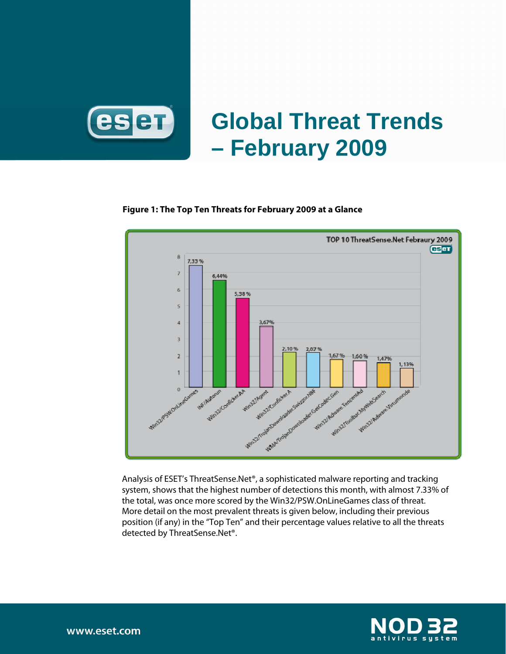

# **Global Threat Trends – February 2009**

#### **Figure 1: The Top Ten Threats for February 2009 at a Glance**



Analysis of ESET's ThreatSense.Net®, a sophisticated malware reporting and tracking system, shows that the highest number of detections this month, with almost 7.33% of the total, was once more scored by the Win32/PSW.OnLineGames class of threat. More detail on the most prevalent threats is given below, including their previous position (if any) in the "Top Ten" and their percentage values relative to all the threats detected by ThreatSense.Net®.



www.eset.com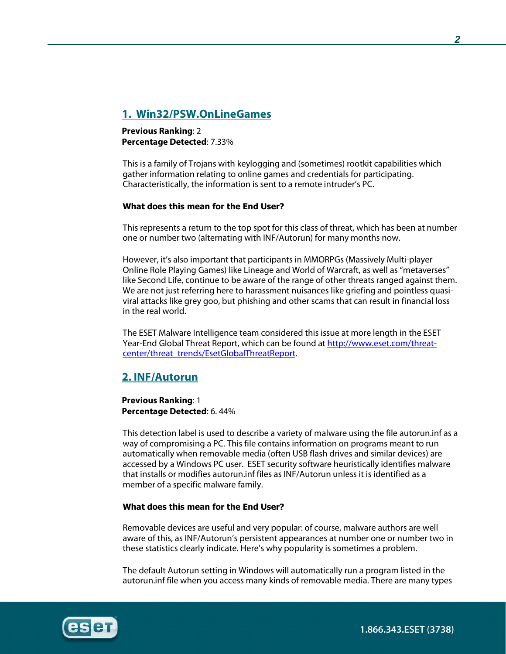# **1. Win32/PSW.OnLineGames**

**Previous Ranking**: 2 **Percentage Detected**: 7.33%

This is a family of Trojans with keylogging and (sometimes) rootkit capabilities which gather information relating to online games and credentials for participating. Characteristically, the information is sent to a remote intruder's PC.

#### **What does this mean for the End User?**

This represents a return to the top spot for this class of threat, which has been at number one or number two (alternating with INF/Autorun) for many months now.

However, it's also important that participants in MMORPGs (Massively Multi-player Online Role Playing Games) like Lineage and World of Warcraft, as well as "metaverses" like Second Life, continue to be aware of the range of other threats ranged against them. We are not just referring here to harassment nuisances like griefing and pointless quasiviral attacks like grey goo, but phishing and other scams that can result in financial loss in the real world.

The ESET Malware Intelligence team considered this issue at more length in the ESET Year-End Global Threat Report, which can be found at http://www.eset.com/threatcenter/threat\_trends/EsetGlobalThreatReport.

## **2. INF/Autorun**

**Previous Ranking**: 1 **Percentage Detected**: 6. 44%

This detection label is used to describe a variety of malware using the file autorun.inf as a way of compromising a PC. This file contains information on programs meant to run automatically when removable media (often USB flash drives and similar devices) are accessed by a Windows PC user. ESET security software heuristically identifies malware that installs or modifies autorun.inf files as INF/Autorun unless it is identified as a member of a specific malware family.

#### **What does this mean for the End User?**

Removable devices are useful and very popular: of course, malware authors are well aware of this, as INF/Autorun's persistent appearances at number one or number two in these statistics clearly indicate. Here's why popularity is sometimes a problem.

The default Autorun setting in Windows will automatically run a program listed in the autorun.inf file when you access many kinds of removable media. There are many types

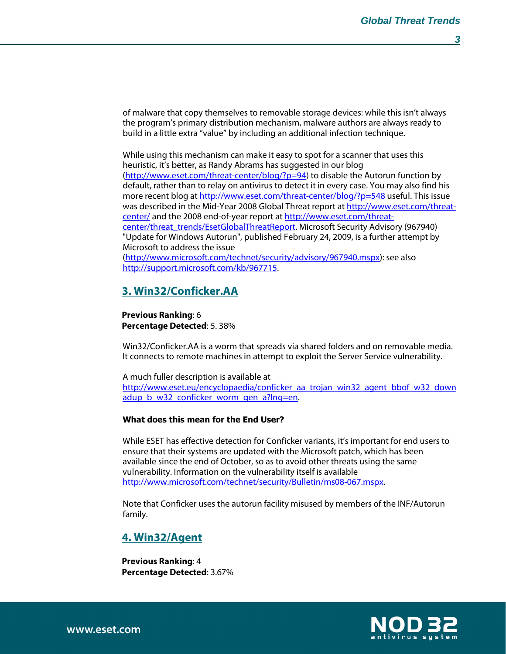of malware that copy themselves to removable storage devices: while this isn't always the program's primary distribution mechanism, malware authors are always ready to build in a little extra "value" by including an additional infection technique.

While using this mechanism can make it easy to spot for a scanner that uses this heuristic, it's better, as Randy Abrams has suggested in our blog (http://www.eset.com/threat-center/blog/?p=94) to disable the Autorun function by default, rather than to relay on antivirus to detect it in every case. You may also find his more recent blog at http://www.eset.com/threat-center/blog/?p=548 useful. This issue was described in the Mid-Year 2008 Global Threat report at http://www.eset.com/threatcenter/ and the 2008 end-of-year report at http://www.eset.com/threatcenter/threat\_trends/EsetGlobalThreatReport. Microsoft Security Advisory (967940) "Update for Windows Autorun", published February 24, 2009, is a further attempt by Microsoft to address the issue (http://www.microsoft.com/technet/security/advisory/967940.mspx): see also

http://support.microsoft.com/kb/967715.

# **3. Win32/Conficker.AA**

#### **Previous Ranking**: 6 **Percentage Detected**: 5. 38%

Win32/Conficker.AA is a worm that spreads via shared folders and on removable media. It connects to remote machines in attempt to exploit the Server Service vulnerability.

A much fuller description is available at http://www.eset.eu/encyclopaedia/conficker\_aa\_trojan\_win32\_agent\_bbof\_w32\_down adup b w32 conficker worm gen a?lng=en.

#### **What does this mean for the End User?**

While ESET has effective detection for Conficker variants, it's important for end users to ensure that their systems are updated with the Microsoft patch, which has been available since the end of October, so as to avoid other threats using the same vulnerability. Information on the vulnerability itself is available http://www.microsoft.com/technet/security/Bulletin/ms08-067.mspx.

Note that Conficker uses the autorun facility misused by members of the INF/Autorun family.

# **4. Win32/Agent**

**Previous Ranking**: 4 **Percentage Detected**: 3.67%



www.eset.com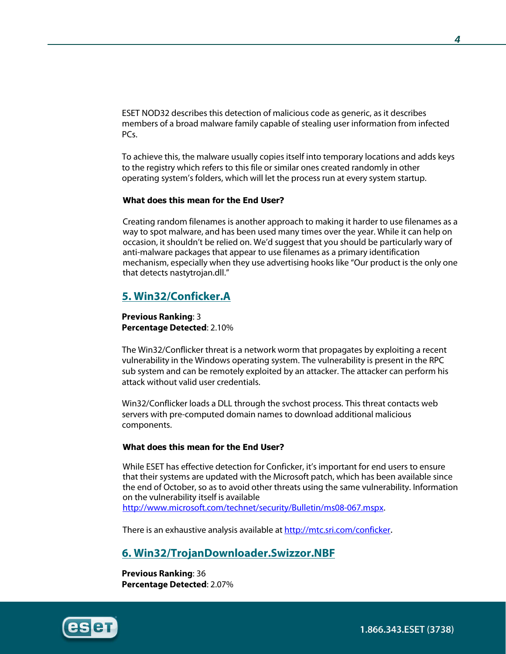ESET NOD32 describes this detection of malicious code as generic, as it describes members of a broad malware family capable of stealing user information from infected PCs.

To achieve this, the malware usually copies itself into temporary locations and adds keys to the registry which refers to this file or similar ones created randomly in other operating system's folders, which will let the process run at every system startup.

#### **What does this mean for the End User?**

Creating random filenames is another approach to making it harder to use filenames as a way to spot malware, and has been used many times over the year. While it can help on occasion, it shouldn't be relied on. We'd suggest that you should be particularly wary of anti-malware packages that appear to use filenames as a primary identification mechanism, especially when they use advertising hooks like "Our product is the only one that detects nastytrojan.dll."

# **5. Win32/Conficker.A**

**Previous Ranking**: 3 **Percentage Detected**: 2.10%

The Win32/Conflicker threat is a network worm that propagates by exploiting a recent vulnerability in the Windows operating system. The vulnerability is present in the RPC sub system and can be remotely exploited by an attacker. The attacker can perform his attack without valid user credentials.

Win32/Conflicker loads a DLL through the svchost process. This threat contacts web servers with pre-computed domain names to download additional malicious components.

#### **What does this mean for the End User?**

While ESET has effective detection for Conficker, it's important for end users to ensure that their systems are updated with the Microsoft patch, which has been available since the end of October, so as to avoid other threats using the same vulnerability. Information on the vulnerability itself is available http://www.microsoft.com/technet/security/Bulletin/ms08-067.mspx.

There is an exhaustive analysis available at http://mtc.sri.com/conficker.

## **6. Win32/TrojanDownloader.Swizzor.NBF**

**Previous Ranking**: 36 **Percentage Detected**: 2.07%

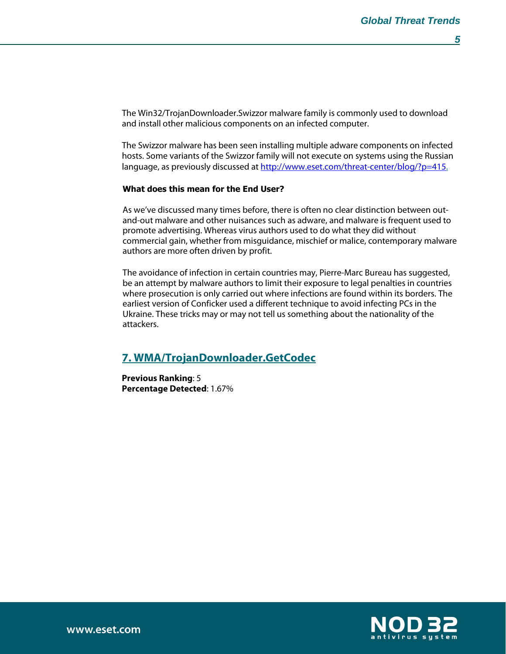The Win32/TrojanDownloader.Swizzor malware family is commonly used to download and install other malicious components on an infected computer.

The Swizzor malware has been seen installing multiple adware components on infected hosts. Some variants of the Swizzor family will not execute on systems using the Russian language, as previously discussed at http://www.eset.com/threat-center/blog/?p=415.

#### **What does this mean for the End User?**

As we've discussed many times before, there is often no clear distinction between outand-out malware and other nuisances such as adware, and malware is frequent used to promote advertising. Whereas virus authors used to do what they did without commercial gain, whether from misguidance, mischief or malice, contemporary malware authors are more often driven by profit.

The avoidance of infection in certain countries may, Pierre-Marc Bureau has suggested, be an attempt by malware authors to limit their exposure to legal penalties in countries where prosecution is only carried out where infections are found within its borders. The earliest version of Conficker used a different technique to avoid infecting PCs in the Ukraine. These tricks may or may not tell us something about the nationality of the attackers.

## **7. WMA/TrojanDownloader.GetCodec**

**Previous Ranking**: 5 **Percentage Detected**: 1.67%

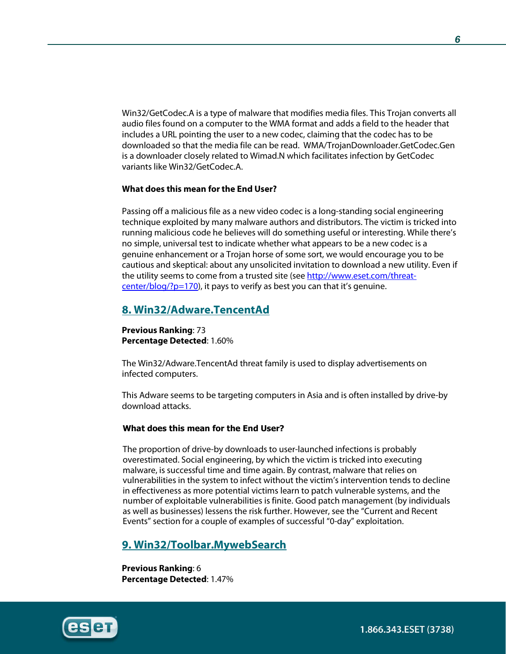Win32/GetCodec.A is a type of malware that modifies media files. This Trojan converts all audio files found on a computer to the WMA format and adds a field to the header that includes a URL pointing the user to a new codec, claiming that the codec has to be downloaded so that the media file can be read. WMA/TrojanDownloader.GetCodec.Gen is a downloader closely related to Wimad.N which facilitates infection by GetCodec variants like Win32/GetCodec.A.

#### **What does this mean for the End User?**

Passing off a malicious file as a new video codec is a long-standing social engineering technique exploited by many malware authors and distributors. The victim is tricked into running malicious code he believes will do something useful or interesting. While there's no simple, universal test to indicate whether what appears to be a new codec is a genuine enhancement or a Trojan horse of some sort, we would encourage you to be cautious and skeptical: about any unsolicited invitation to download a new utility. Even if the utility seems to come from a trusted site (see http://www.eset.com/threatcenter/blog/? $p=170$ ), it pays to verify as best you can that it's genuine.

## **8. Win32/Adware.TencentAd**

**Previous Ranking**: 73 **Percentage Detected**: 1.60%

The Win32/Adware.TencentAd threat family is used to display advertisements on infected computers.

This Adware seems to be targeting computers in Asia and is often installed by drive-by download attacks.

#### **What does this mean for the End User?**

The proportion of drive-by downloads to user-launched infections is probably overestimated. Social engineering, by which the victim is tricked into executing malware, is successful time and time again. By contrast, malware that relies on vulnerabilities in the system to infect without the victim's intervention tends to decline in effectiveness as more potential victims learn to patch vulnerable systems, and the number of exploitable vulnerabilities is finite. Good patch management (by individuals as well as businesses) lessens the risk further. However, see the "Current and Recent Events" section for a couple of examples of successful "0-day" exploitation.

### **9. Win32/Toolbar.MywebSearch**

**Previous Ranking**: 6 **Percentage Detected**: 1.47%

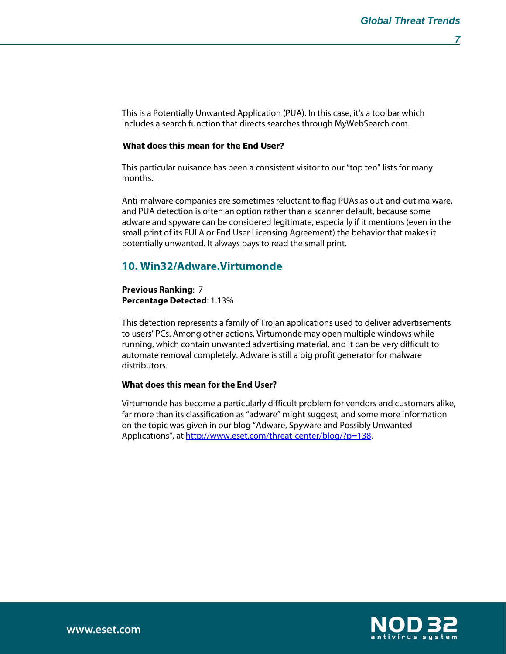This is a Potentially Unwanted Application (PUA). In this case, it's a toolbar which includes a search function that directs searches through MyWebSearch.com.

#### **What does this mean for the End User?**

This particular nuisance has been a consistent visitor to our "top ten" lists for many months.

Anti-malware companies are sometimes reluctant to flag PUAs as out-and-out malware, and PUA detection is often an option rather than a scanner default, because some adware and spyware can be considered legitimate, especially if it mentions (even in the small print of its EULA or End User Licensing Agreement) the behavior that makes it potentially unwanted. It always pays to read the small print.

## **10. Win32/Adware.Virtumonde**

**Previous Ranking**: 7 **Percentage Detected**: 1.13%

This detection represents a family of Trojan applications used to deliver advertisements to users' PCs. Among other actions, Virtumonde may open multiple windows while running, which contain unwanted advertising material, and it can be very difficult to automate removal completely. Adware is still a big profit generator for malware distributors.

#### **What does this mean for the End User?**

Virtumonde has become a particularly difficult problem for vendors and customers alike, far more than its classification as "adware" might suggest, and some more information on the topic was given in our blog "Adware, Spyware and Possibly Unwanted Applications", at http://www.eset.com/threat-center/blog/?p=138.

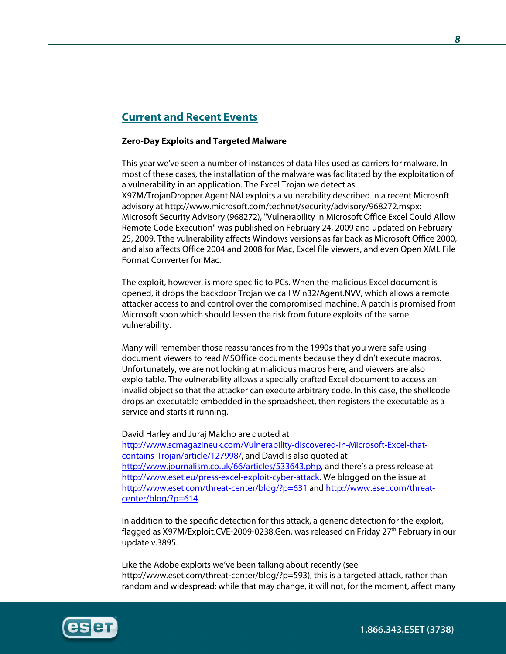# **Current and Recent Events**

#### **Zero-Day Exploits and Targeted Malware**

This year we've seen a number of instances of data files used as carriers for malware. In most of these cases, the installation of the malware was facilitated by the exploitation of a vulnerability in an application. The Excel Trojan we detect as X97M/TrojanDropper.Agent.NAI exploits a vulnerability described in a recent Microsoft advisory at http://www.microsoft.com/technet/security/advisory/968272.mspx: Microsoft Security Advisory (968272), "Vulnerability in Microsoft Office Excel Could Allow Remote Code Execution" was published on February 24, 2009 and updated on February 25, 2009. Tthe vulnerability affects Windows versions as far back as Microsoft Office 2000, and also affects Office 2004 and 2008 for Mac, Excel file viewers, and even Open XML File Format Converter for Mac.

The exploit, however, is more specific to PCs. When the malicious Excel document is opened, it drops the backdoor Trojan we call Win32/Agent.NVV, which allows a remote attacker access to and control over the compromised machine. A patch is promised from Microsoft soon which should lessen the risk from future exploits of the same vulnerability.

Many will remember those reassurances from the 1990s that you were safe using document viewers to read MSOffice documents because they didn't execute macros. Unfortunately, we are not looking at malicious macros here, and viewers are also exploitable. The vulnerability allows a specially crafted Excel document to access an invalid object so that the attacker can execute arbitrary code. In this case, the shellcode drops an executable embedded in the spreadsheet, then registers the executable as a service and starts it running.

David Harley and Juraj Malcho are quoted at http://www.scmagazineuk.com/Vulnerability-discovered-in-Microsoft-Excel-thatcontains-Trojan/article/127998/, and David is also quoted at http://www.journalism.co.uk/66/articles/533643.php, and there's a press release at http://www.eset.eu/press-excel-exploit-cyber-attack. We blogged on the issue at http://www.eset.com/threat-center/blog/?p=631 and http://www.eset.com/threatcenter/blog/?p=614.

In addition to the specific detection for this attack, a generic detection for the exploit, flagged as X97M/Exploit.CVE-2009-0238.Gen, was released on Friday  $27<sup>th</sup>$  February in our update v.3895.

Like the Adobe exploits we've been talking about recently (see http://www.eset.com/threat-center/blog/?p=593), this is a targeted attack, rather than random and widespread: while that may change, it will not, for the moment, affect many



1.866.343.ESET (3738)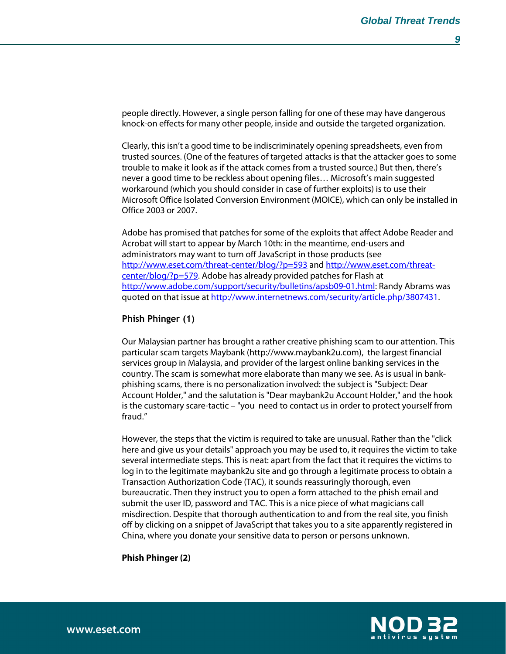people directly. However, a single person falling for one of these may have dangerous knock-on effects for many other people, inside and outside the targeted organization.

Clearly, this isn't a good time to be indiscriminately opening spreadsheets, even from trusted sources. (One of the features of targeted attacks is that the attacker goes to some trouble to make it look as if the attack comes from a trusted source.) But then, there's never a good time to be reckless about opening files… Microsoft's main suggested workaround (which you should consider in case of further exploits) is to use their Microsoft Office Isolated Conversion Environment (MOICE), which can only be installed in Office 2003 or 2007.

Adobe has promised that patches for some of the exploits that affect Adobe Reader and Acrobat will start to appear by March 10th: in the meantime, end-users and administrators may want to turn off JavaScript in those products (see http://www.eset.com/threat-center/blog/?p=593 and http://www.eset.com/threatcenter/blog/?p=579. Adobe has already provided patches for Flash at http://www.adobe.com/support/security/bulletins/apsb09-01.html: Randy Abrams was quoted on that issue at http://www.internetnews.com/security/article.php/3807431.

#### **Phish Phinger (1)**

Our Malaysian partner has brought a rather creative phishing scam to our attention. This particular scam targets Maybank (http://www.maybank2u.com), the largest financial services group in Malaysia, and provider of the largest online banking services in the country. The scam is somewhat more elaborate than many we see. As is usual in bankphishing scams, there is no personalization involved: the subject is "Subject: Dear Account Holder," and the salutation is "Dear maybank2u Account Holder," and the hook is the customary scare-tactic – "you need to contact us in order to protect yourself from fraud."

However, the steps that the victim is required to take are unusual. Rather than the "click here and give us your details" approach you may be used to, it requires the victim to take several intermediate steps. This is neat: apart from the fact that it requires the victims to log in to the legitimate maybank2u site and go through a legitimate process to obtain a Transaction Authorization Code (TAC), it sounds reassuringly thorough, even bureaucratic. Then they instruct you to open a form attached to the phish email and submit the user ID, password and TAC. This is a nice piece of what magicians call misdirection. Despite that thorough authentication to and from the real site, you finish off by clicking on a snippet of JavaScript that takes you to a site apparently registered in China, where you donate your sensitive data to person or persons unknown.

**Phish Phinger (2)**